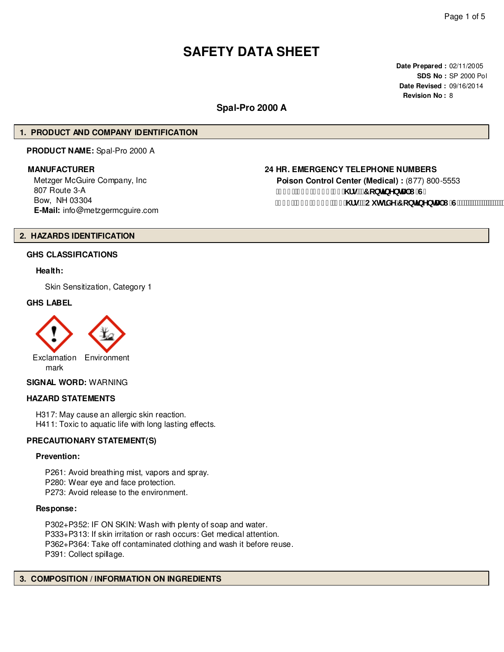# **SAFETY DATA SHEET**

**Date Prepared :** 02/11/2005 **SDS No :** SP 2000 Pol **Date Revised :** 09/16/2014 **Revision No :** 8

## **Spal-Pro 2000 A**

## **1. PRODUCT AND COMPANY IDENTIFICATION**

**PRODUCT NAME:** Spal-Pro 2000 A

Metzger McGuire Company, Inc 807 Route 3-A Bow, NH 03304 **E-Mail:** info@metzgermcguire.com

## **MANUFACTURER 24 HR. EMERGENCY TELEPHONE NUMBERS**

**Poison Control Center (Medical) :** (877) 800-5553 f(\$\$**L&)**)!' - & '& \fg"fr cbHbYbHJ'I 'G" f| % L&(, !\$), ) "&( \fg"fCi lg]XY'7 cbljbYbHJ'l "G'L"

## **2. HAZARDS IDENTIFICATION**

## **GHS CLASSIFICATIONS**

#### **Health:**

Skin Sensitization, Category 1

#### **GHS LABEL**



## **SIGNAL WORD:** WARNING

## **HAZARD STATEMENTS**

H317: May cause an allergic skin reaction. H411: Toxic to aquatic life with long lasting effects.

## **PRECAUTIONARY STATEMENT(S)**

#### **Prevention:**

P261: Avoid breathing mist, vapors and spray. P280: Wear eye and face protection. P273: Avoid release to the environment.

#### **Response:**

P302+P352: IF ON SKIN: Wash with plenty of soap and water. P333+P313: If skin irritation or rash occurs: Get medical attention. P362+P364: Take off contaminated clothing and wash it before reuse. P391: Collect spillage.

## **3. COMPOSITION / INFORMATION ON INGREDIENTS**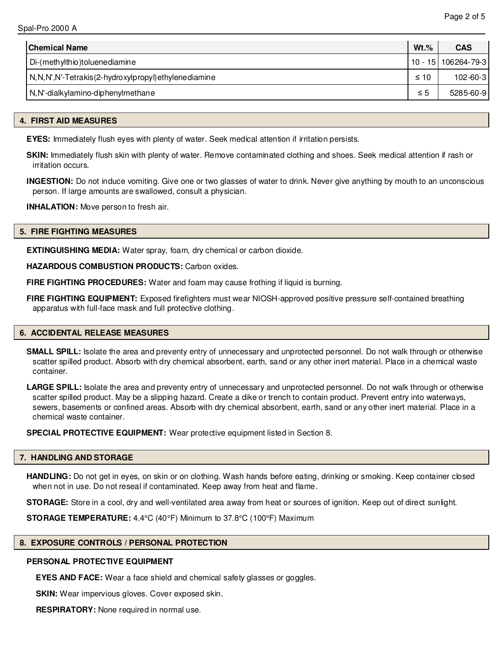| <b>Chemical Name</b>                                | $Wt.$ %   | <b>CAS</b>            |
|-----------------------------------------------------|-----------|-----------------------|
| Di-(methylthio)toluenediamine                       |           | 10 - 15   106264-79-3 |
| N,N,N',N'-Tetrakis(2-hydroxylpropyl)ethylenediamine | $\leq 10$ | $102 - 60 - 3$        |
| N,N'-dialkylamino-diphenylmethane                   | $\leq 5$  | 5285-60-9             |

## **4. FIRST AID MEASURES**

**EYES:** Immediately flush eyes with plenty of water. Seek medical attention if irritation persists.

**SKIN:** Immediately flush skin with plenty of water. Remove contaminated clothing and shoes. Seek medical attention if rash or irritation occurs.

**INGESTION:** Do not induce vomiting. Give one or two glasses of water to drink. Never give anything by mouth to an unconscious person. If large amounts are swallowed, consult a physician.

**INHALATION:** Move person to fresh air.

## **5. FIRE FIGHTING MEASURES**

**EXTINGUISHING MEDIA:** Water spray, foam, dry chemical or carbon dioxide.

**HAZARDOUS COMBUSTION PRODUCTS:** Carbon oxides.

**FIRE FIGHTING PROCEDURES:** Water and foam may cause frothing if liquid is burning.

**FIRE FIGHTING EQUIPMENT:** Exposed firefighters must wear NIOSH-approved positive pressure self-contained breathing apparatus with full-face mask and full protective clothing.

#### **6. ACCIDENTAL RELEASE MEASURES**

**SMALL SPILL:** Isolate the area and preventy entry of unnecessary and unprotected personnel. Do not walk through or otherwise scatter spilled product. Absorb with dry chemical absorbent, earth, sand or any other inert material. Place in a chemical waste container.

LARGE SPILL: Isolate the area and preventy entry of unnecessary and unprotected personnel. Do not walk through or otherwise scatter spilled product. May be a slipping hazard. Create a dike or trench to contain product. Prevent entry into waterways, sewers, basements or confined areas. Absorb with dry chemical absorbent, earth, sand or any other inert material. Place in a chemical waste container.

**SPECIAL PROTECTIVE EQUIPMENT:** Wear protective equipment listed in Section 8.

## **7. HANDLING AND STORAGE**

**HANDLING:** Do not get in eyes, on skin or on clothing. Wash hands before eating, drinking or smoking. Keep container closed when not in use. Do not reseal if contaminated. Keep away from heat and flame.

**STORAGE:** Store in a cool, dry and well-ventilated area away from heat or sources of ignition. Keep out of direct sunlight.

**STORAGE TEMPERATURE:** 4.4°C (40°F) Minimum to 37.8°C (100°F) Maximum

## **8. EXPOSURE CONTROLS / PERSONAL PROTECTION**

## **PERSONAL PROTECTIVE EQUIPMENT**

**EYES AND FACE:** Wear a face shield and chemical safety glasses or goggles.

**SKIN:** Wear impervious gloves. Cover exposed skin.

**RESPIRATORY:** None required in normal use.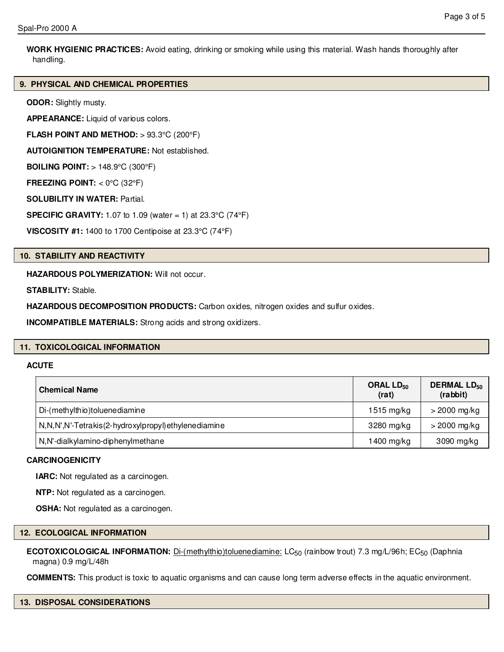**WORK HYGIENIC PRACTICES:** Avoid eating, drinking or smoking while using this material. Wash hands thoroughly after handling.

## **9. PHYSICAL AND CHEMICAL PROPERTIES**

**ODOR:** Slightly musty.

**APPEARANCE:** Liquid of various colors.

**FLASH POINT AND METHOD:** > 93.3°C (200°F)

**AUTOIGNITION TEMPERATURE:** Not established.

**BOILING POINT:** > 148.9°C (300°F)

**FREEZING POINT:** < 0°C (32°F)

**SOLUBILITY IN WATER:** Partial.

**SPECIFIC GRAVITY:** 1.07 to 1.09 (water = 1) at 23.3°C (74°F)

**VISCOSITY #1:** 1400 to 1700 Centipoise at 23.3°C (74°F)

## **10. STABILITY AND REACTIVITY**

**HAZARDOUS POLYMERIZATION:** Will not occur.

**STABILITY:** Stable.

**HAZARDOUS DECOMPOSITION PRODUCTS:** Carbon oxides, nitrogen oxides and sulfur oxides.

**INCOMPATIBLE MATERIALS:** Strong acids and strong oxidizers.

## **11. TOXICOLOGICAL INFORMATION**

## **ACUTE**

| <b>Chemical Name</b>                                 | ORAL $LD_{50}$<br>(rat) | <b>DERMAL LD<sub>50</sub></b><br>(rabbit) |
|------------------------------------------------------|-------------------------|-------------------------------------------|
| Di-(methylthio)toluenediamine                        | 1515 mg/kg              | $>$ 2000 mg/kg                            |
| N,N,N',N'-Tetrakis(2-hydroxylpropyl) ethylenediamine | 3280 mg/kg              | $>$ 2000 mg/kg                            |
| N,N'-dialkylamino-diphenylmethane                    | 1400 mg/kg              | 3090 mg/kg                                |

## **CARCINOGENICITY**

**IARC:** Not regulated as a carcinogen.

**NTP:** Not regulated as a carcinogen.

**OSHA:** Not regulated as a carcinogen.

#### **12. ECOLOGICAL INFORMATION**

**ECOTOXICOLOGICAL INFORMATION:** Di-(methylthio)toluenediamine: LC<sub>50</sub> (rainbow trout) 7.3 mg/L/96h; EC<sub>50</sub> (Daphnia magna) 0.9 mg/L/48h

**COMMENTS:** This product is toxic to aquatic organisms and can cause long term adverse effects in the aquatic environment.

**13. DISPOSAL CONSIDERATIONS**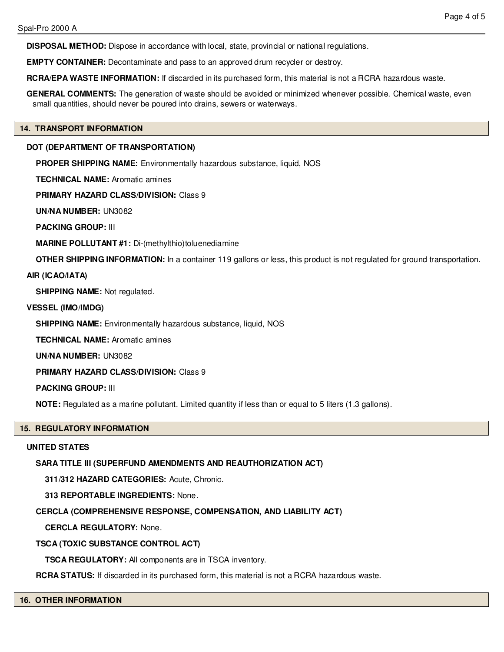**DISPOSAL METHOD:** Dispose in accordance with local, state, provincial or national regulations.

**EMPTY CONTAINER:** Decontaminate and pass to an approved drum recycler or destroy.

**RCRA/EPA WASTE INFORMATION:** If discarded in its purchased form, this material is not a RCRA hazardous waste.

**GENERAL COMMENTS:** The generation of waste should be avoided or minimized whenever possible. Chemical waste, even small quantities, should never be poured into drains, sewers or waterways.

### **14. TRANSPORT INFORMATION**

## **DOT (DEPARTMENT OF TRANSPORTATION)**

**PROPER SHIPPING NAME:** Environmentally hazardous substance, liquid, NOS

**TECHNICAL NAME:** Aromatic amines

**PRIMARY HAZARD CLASS/DIVISION:** Class 9

**UN/NA NUMBER:** UN3082

**PACKING GROUP:** III

**MARINE POLLUTANT #1:** Di-(methylthio)toluenediamine

**OTHER SHIPPING INFORMATION:** In a container 119 gallons or less, this product is not regulated for ground transportation.

## **AIR (ICAO/IATA)**

**SHIPPING NAME:** Not regulated.

## **VESSEL (IMO/IMDG)**

**SHIPPING NAME:** Environmentally hazardous substance, liquid, NOS

**TECHNICAL NAME:** Aromatic amines

**UN/NA NUMBER:** UN3082

**PRIMARY HAZARD CLASS/DIVISION:** Class 9

**PACKING GROUP:** III

**NOTE:** Regulated as a marine pollutant. Limited quantity if less than or equal to 5 liters (1.3 gallons).

## **15. REGULATORY INFORMATION**

## **UNITED STATES**

## **SARA TITLE III (SUPERFUND AMENDMENTS AND REAUTHORIZATION ACT)**

**311/312 HAZARD CATEGORIES:** Acute, Chronic.

**313 REPORTABLE INGREDIENTS:** None.

## **CERCLA (COMPREHENSIVE RESPONSE, COMPENSATION, AND LIABILITY ACT)**

**CERCLA REGULATORY:** None.

## **TSCA (TOXIC SUBSTANCE CONTROL ACT)**

**TSCA REGULATORY:** All components are in TSCA inventory.

**RCRA STATUS:** If discarded in its purchased form, this material is not a RCRA hazardous waste.

**16. OTHER INFORMATION**